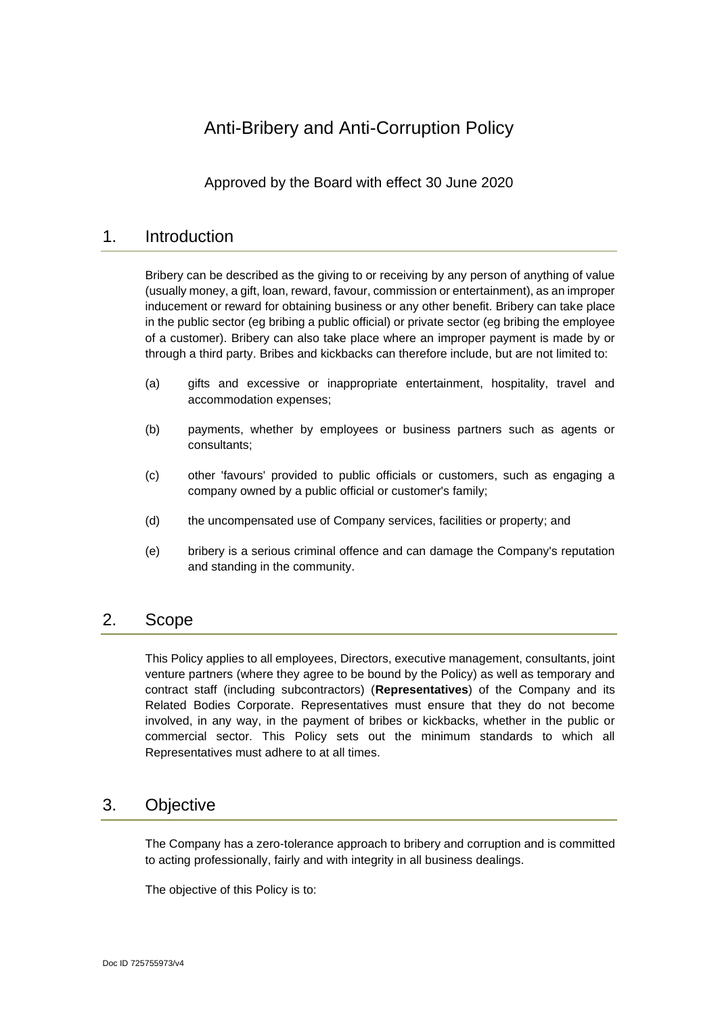# Anti-Bribery and Anti-Corruption Policy

Approved by the Board with effect 30 June 2020

## 1. Introduction

Bribery can be described as the giving to or receiving by any person of anything of value (usually money, a gift, loan, reward, favour, commission or entertainment), as an improper inducement or reward for obtaining business or any other benefit. Bribery can take place in the public sector (eg bribing a public official) or private sector (eg bribing the employee of a customer). Bribery can also take place where an improper payment is made by or through a third party. Bribes and kickbacks can therefore include, but are not limited to:

- (a) gifts and excessive or inappropriate entertainment, hospitality, travel and accommodation expenses;
- (b) payments, whether by employees or business partners such as agents or consultants;
- (c) other 'favours' provided to public officials or customers, such as engaging a company owned by a public official or customer's family;
- (d) the uncompensated use of Company services, facilities or property; and
- (e) bribery is a serious criminal offence and can damage the Company's reputation and standing in the community.

# 2. Scope

This Policy applies to all employees, Directors, executive management, consultants, joint venture partners (where they agree to be bound by the Policy) as well as temporary and contract staff (including subcontractors) (**Representatives**) of the Company and its Related Bodies Corporate. Representatives must ensure that they do not become involved, in any way, in the payment of bribes or kickbacks, whether in the public or commercial sector. This Policy sets out the minimum standards to which all Representatives must adhere to at all times.

# 3. Objective

The Company has a zero-tolerance approach to bribery and corruption and is committed to acting professionally, fairly and with integrity in all business dealings.

The objective of this Policy is to: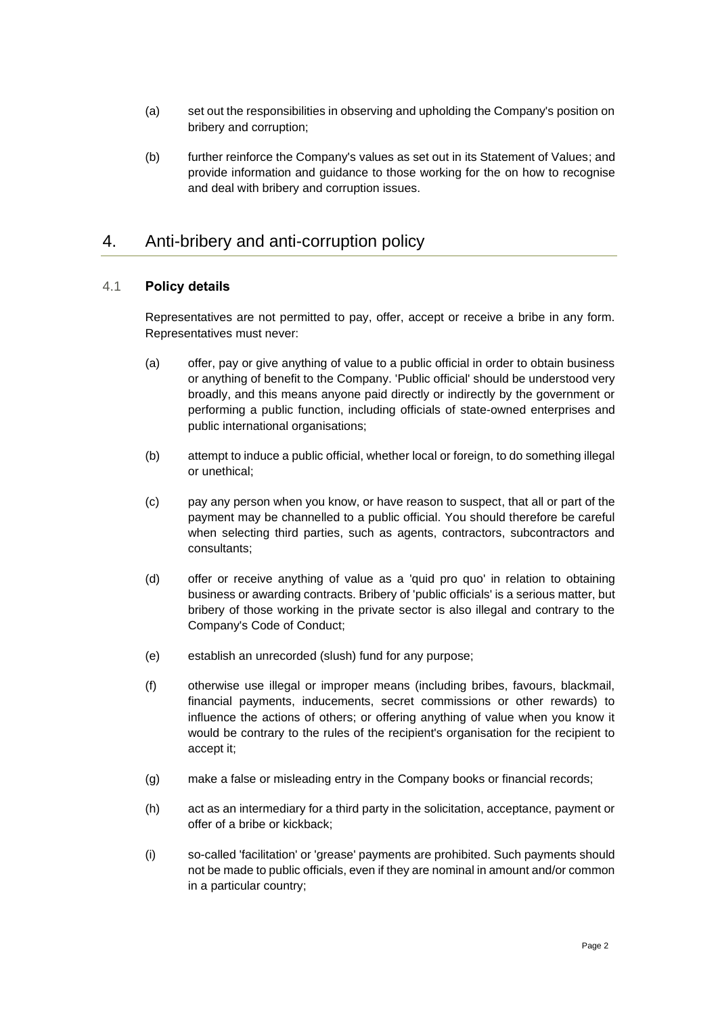- (a) set out the responsibilities in observing and upholding the Company's position on bribery and corruption;
- (b) further reinforce the Company's values as set out in its Statement of Values; and provide information and guidance to those working for the on how to recognise and deal with bribery and corruption issues.

# 4. Anti-bribery and anti-corruption policy

#### 4.1 **Policy details**

Representatives are not permitted to pay, offer, accept or receive a bribe in any form. Representatives must never:

- (a) offer, pay or give anything of value to a public official in order to obtain business or anything of benefit to the Company. 'Public official' should be understood very broadly, and this means anyone paid directly or indirectly by the government or performing a public function, including officials of state-owned enterprises and public international organisations;
- (b) attempt to induce a public official, whether local or foreign, to do something illegal or unethical;
- (c) pay any person when you know, or have reason to suspect, that all or part of the payment may be channelled to a public official. You should therefore be careful when selecting third parties, such as agents, contractors, subcontractors and consultants;
- (d) offer or receive anything of value as a 'quid pro quo' in relation to obtaining business or awarding contracts. Bribery of 'public officials' is a serious matter, but bribery of those working in the private sector is also illegal and contrary to the Company's Code of Conduct;
- (e) establish an unrecorded (slush) fund for any purpose;
- (f) otherwise use illegal or improper means (including bribes, favours, blackmail, financial payments, inducements, secret commissions or other rewards) to influence the actions of others; or offering anything of value when you know it would be contrary to the rules of the recipient's organisation for the recipient to accept it;
- (g) make a false or misleading entry in the Company books or financial records;
- (h) act as an intermediary for a third party in the solicitation, acceptance, payment or offer of a bribe or kickback;
- (i) so-called 'facilitation' or 'grease' payments are prohibited. Such payments should not be made to public officials, even if they are nominal in amount and/or common in a particular country;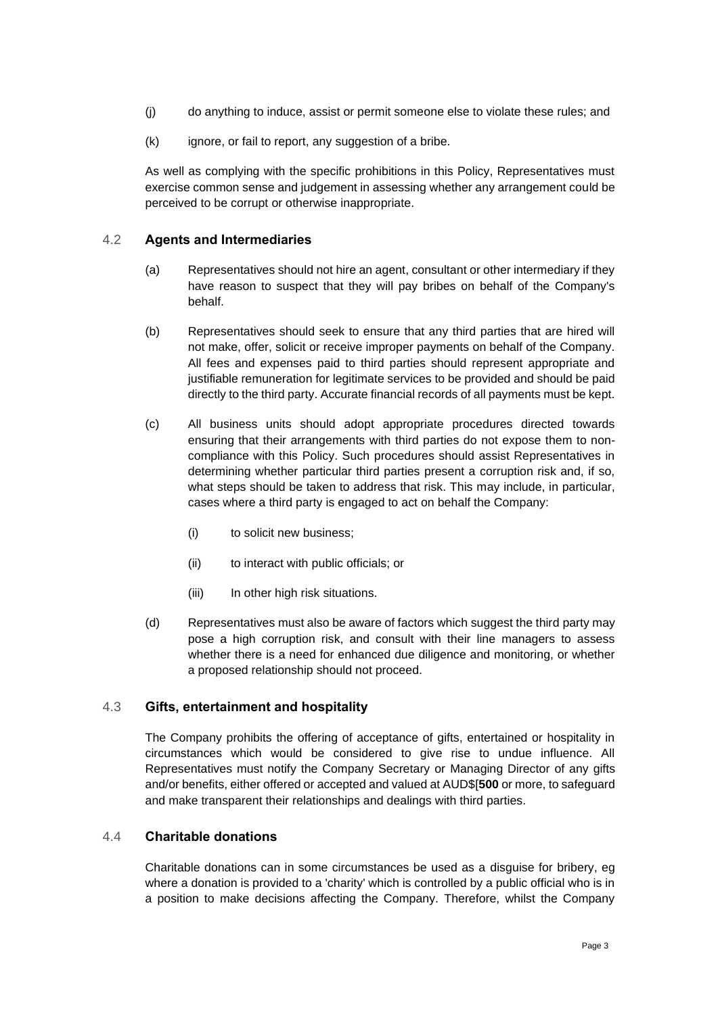- (j) do anything to induce, assist or permit someone else to violate these rules; and
- (k) ignore, or fail to report, any suggestion of a bribe.

As well as complying with the specific prohibitions in this Policy, Representatives must exercise common sense and judgement in assessing whether any arrangement could be perceived to be corrupt or otherwise inappropriate.

#### 4.2 **Agents and Intermediaries**

- (a) Representatives should not hire an agent, consultant or other intermediary if they have reason to suspect that they will pay bribes on behalf of the Company's behalf.
- (b) Representatives should seek to ensure that any third parties that are hired will not make, offer, solicit or receive improper payments on behalf of the Company. All fees and expenses paid to third parties should represent appropriate and justifiable remuneration for legitimate services to be provided and should be paid directly to the third party. Accurate financial records of all payments must be kept.
- (c) All business units should adopt appropriate procedures directed towards ensuring that their arrangements with third parties do not expose them to noncompliance with this Policy. Such procedures should assist Representatives in determining whether particular third parties present a corruption risk and, if so, what steps should be taken to address that risk. This may include, in particular, cases where a third party is engaged to act on behalf the Company:
	- (i) to solicit new business;
	- (ii) to interact with public officials; or
	- (iii) In other high risk situations.
- (d) Representatives must also be aware of factors which suggest the third party may pose a high corruption risk, and consult with their line managers to assess whether there is a need for enhanced due diligence and monitoring, or whether a proposed relationship should not proceed.

#### 4.3 **Gifts, entertainment and hospitality**

The Company prohibits the offering of acceptance of gifts, entertained or hospitality in circumstances which would be considered to give rise to undue influence. All Representatives must notify the Company Secretary or Managing Director of any gifts and/or benefits, either offered or accepted and valued at AUD\$[**500** or more, to safeguard and make transparent their relationships and dealings with third parties.

#### 4.4 **Charitable donations**

Charitable donations can in some circumstances be used as a disguise for bribery, eg where a donation is provided to a 'charity' which is controlled by a public official who is in a position to make decisions affecting the Company. Therefore, whilst the Company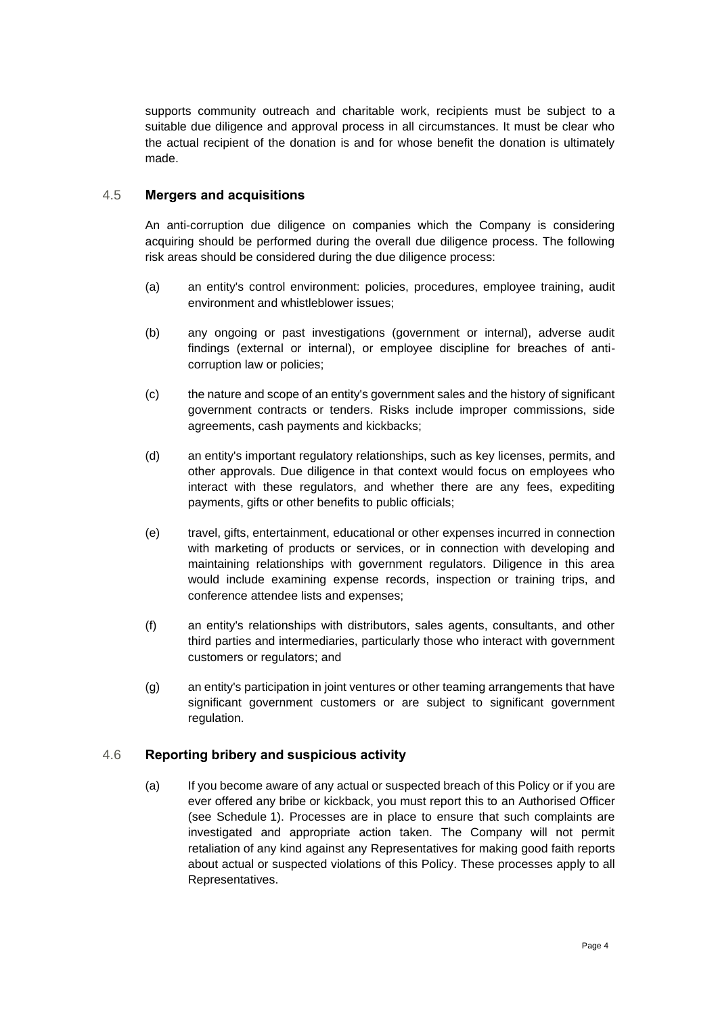supports community outreach and charitable work, recipients must be subject to a suitable due diligence and approval process in all circumstances. It must be clear who the actual recipient of the donation is and for whose benefit the donation is ultimately made.

#### 4.5 **Mergers and acquisitions**

An anti-corruption due diligence on companies which the Company is considering acquiring should be performed during the overall due diligence process. The following risk areas should be considered during the due diligence process:

- (a) an entity's control environment: policies, procedures, employee training, audit environment and whistleblower issues;
- (b) any ongoing or past investigations (government or internal), adverse audit findings (external or internal), or employee discipline for breaches of anticorruption law or policies;
- (c) the nature and scope of an entity's government sales and the history of significant government contracts or tenders. Risks include improper commissions, side agreements, cash payments and kickbacks;
- (d) an entity's important regulatory relationships, such as key licenses, permits, and other approvals. Due diligence in that context would focus on employees who interact with these regulators, and whether there are any fees, expediting payments, gifts or other benefits to public officials;
- (e) travel, gifts, entertainment, educational or other expenses incurred in connection with marketing of products or services, or in connection with developing and maintaining relationships with government regulators. Diligence in this area would include examining expense records, inspection or training trips, and conference attendee lists and expenses;
- (f) an entity's relationships with distributors, sales agents, consultants, and other third parties and intermediaries, particularly those who interact with government customers or regulators; and
- (g) an entity's participation in joint ventures or other teaming arrangements that have significant government customers or are subject to significant government regulation.

#### 4.6 **Reporting bribery and suspicious activity**

(a) If you become aware of any actual or suspected breach of this Policy or if you are ever offered any bribe or kickback, you must report this to an Authorised Officer (see [Schedule](#page-6-0) 1). Processes are in place to ensure that such complaints are investigated and appropriate action taken. The Company will not permit retaliation of any kind against any Representatives for making good faith reports about actual or suspected violations of this Policy. These processes apply to all Representatives.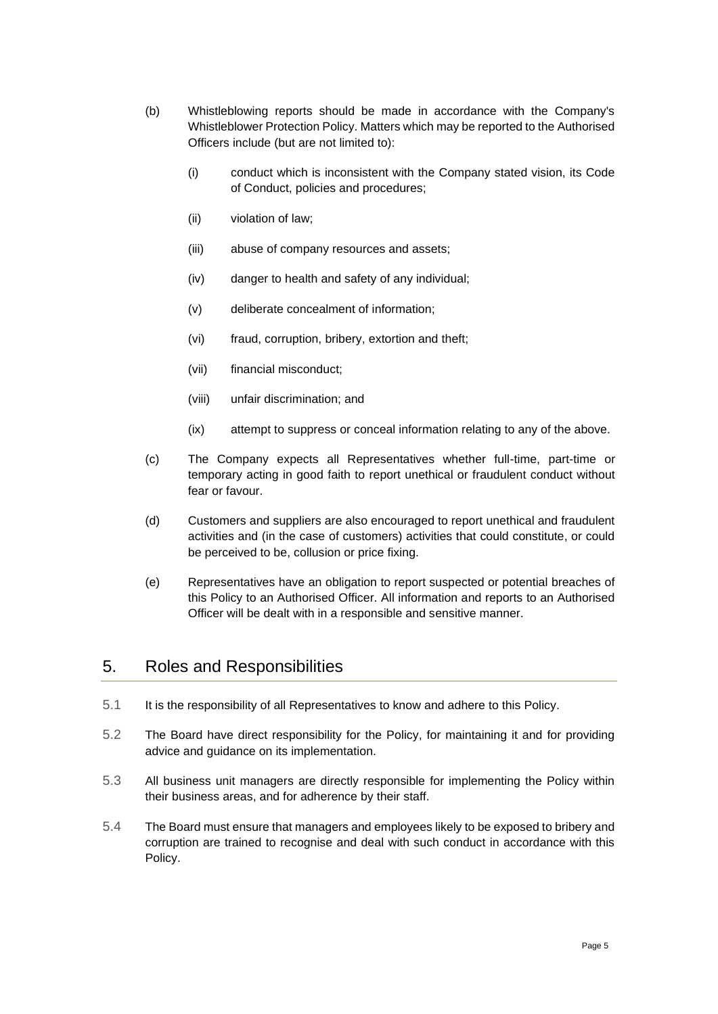- (b) Whistleblowing reports should be made in accordance with the Company's Whistleblower Protection Policy. Matters which may be reported to the Authorised Officers include (but are not limited to):
	- (i) conduct which is inconsistent with the Company stated vision, its Code of Conduct, policies and procedures;
	- (ii) violation of law;
	- (iii) abuse of company resources and assets;
	- (iv) danger to health and safety of any individual;
	- (v) deliberate concealment of information;
	- (vi) fraud, corruption, bribery, extortion and theft;
	- (vii) financial misconduct;
	- (viii) unfair discrimination; and
	- (ix) attempt to suppress or conceal information relating to any of the above.
- (c) The Company expects all Representatives whether full-time, part-time or temporary acting in good faith to report unethical or fraudulent conduct without fear or favour.
- (d) Customers and suppliers are also encouraged to report unethical and fraudulent activities and (in the case of customers) activities that could constitute, or could be perceived to be, collusion or price fixing.
- (e) Representatives have an obligation to report suspected or potential breaches of this Policy to an Authorised Officer. All information and reports to an Authorised Officer will be dealt with in a responsible and sensitive manner.

# 5. Roles and Responsibilities

- 5.1 It is the responsibility of all Representatives to know and adhere to this Policy.
- 5.2 The Board have direct responsibility for the Policy, for maintaining it and for providing advice and guidance on its implementation.
- 5.3 All business unit managers are directly responsible for implementing the Policy within their business areas, and for adherence by their staff.
- 5.4 The Board must ensure that managers and employees likely to be exposed to bribery and corruption are trained to recognise and deal with such conduct in accordance with this Policy.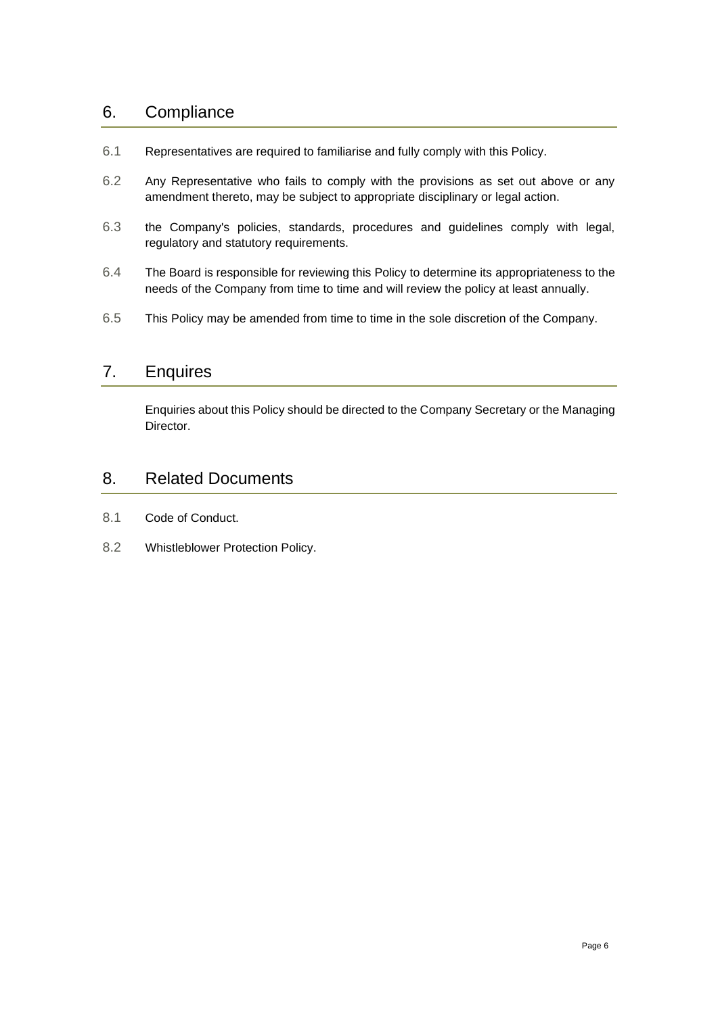# 6. Compliance

- 6.1 Representatives are required to familiarise and fully comply with this Policy.
- 6.2 Any Representative who fails to comply with the provisions as set out above or any amendment thereto, may be subject to appropriate disciplinary or legal action.
- 6.3 the Company's policies, standards, procedures and guidelines comply with legal, regulatory and statutory requirements.
- 6.4 The Board is responsible for reviewing this Policy to determine its appropriateness to the needs of the Company from time to time and will review the policy at least annually.
- 6.5 This Policy may be amended from time to time in the sole discretion of the Company.

# 7. Enquires

Enquiries about this Policy should be directed to the Company Secretary or the Managing Director.

# 8. Related Documents

- 8.1 Code of Conduct.
- 8.2 Whistleblower Protection Policy.